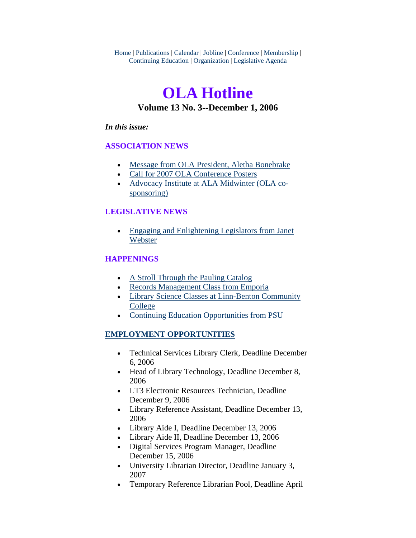Home | Publications | Calendar | Jobline | Conference | Membership | Continuing Education | Organization | Legislative Agenda

## **OLA Hotline Volume 13 No. 3--December 1, 2006**

#### *In this issue:*

#### **ASSOCIATION NEWS**

- [Message from OLA President, Aletha Bonebrake](#page-1-0)
- [Call for 2007 OLA Conference Posters](#page-2-0)
- [Advocacy Institute at ALA Midwinter \(OLA co](#page-3-0)[sponsoring\)](#page-3-0)

#### **LEGISLATIVE NEWS**

• [Engaging and Enlightening Legislators from Janet](#page-4-0)  [Webster](#page-4-0)

#### **HAPPENINGS**

- [A Stroll Through the Pauling Catalog](#page-4-0)
- [Records Management Class from Emporia](#page-5-0)
- [Library Science Classes at Linn-Benton Community](#page-6-0)  [College](#page-6-0)
- [Continuing Education Opportunities from PSU](#page-6-0)

#### **EMPLOYMENT OPPORTUNITIES**

- Technical Services Library Clerk, Deadline December 6, 2006
- Head of Library Technology, Deadline December 8, 2006
- LT3 Electronic Resources Technician, Deadline December 9, 2006
- Library Reference Assistant, Deadline December 13, 2006
- Library Aide I, Deadline December 13, 2006
- Library Aide II, Deadline December 13, 2006
- Digital Services Program Manager, Deadline December 15, 2006
- University Librarian Director, Deadline January 3, 2007
- Temporary Reference Librarian Pool, Deadline April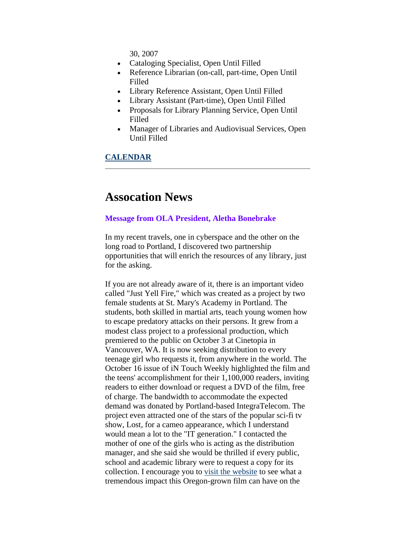30, 2007

- <span id="page-1-0"></span>• Cataloging Specialist, Open Until Filled
- Reference Librarian (on-call, part-time, Open Until Filled
- Library Reference Assistant, Open Until Filled
- Library Assistant (Part-time), Open Until Filled
- Proposals for Library Planning Service, Open Until Filled
- Manager of Libraries and Audiovisual Services, Open Until Filled

#### **CALENDAR**

### **Assocation News**

#### **Message from OLA President, Aletha Bonebrake**

In my recent travels, one in cyberspace and the other on the long road to Portland, I discovered two partnership opportunities that will enrich the resources of any library, just for the asking.

If you are not already aware of it, there is an important video called "Just Yell Fire," which was created as a project by two female students at St. Mary's Academy in Portland. The students, both skilled in martial arts, teach young women how to escape predatory attacks on their persons. It grew from a modest class project to a professional production, which premiered to the public on October 3 at Cinetopia in Vancouver, WA. It is now seeking distribution to every teenage girl who requests it, from anywhere in the world. The October 16 issue of iN Touch Weekly highlighted the film and the teens' accomplishment for their 1,100,000 readers, inviting readers to either download or request a DVD of the film, free of charge. The bandwidth to accommodate the expected demand was donated by Portland-based IntegraTelecom. The project even attracted one of the stars of the popular sci-fi tv show, Lost, for a cameo appearance, which I understand would mean a lot to the "IT generation." I contacted the mother of one of the girls who is acting as the distribution manager, and she said she would be thrilled if every public, school and academic library were to request a copy for its collection. I encourage you to [visit the website](http://www.justyellfire.com/media.php) to see what a tremendous impact this Oregon-grown film can have on the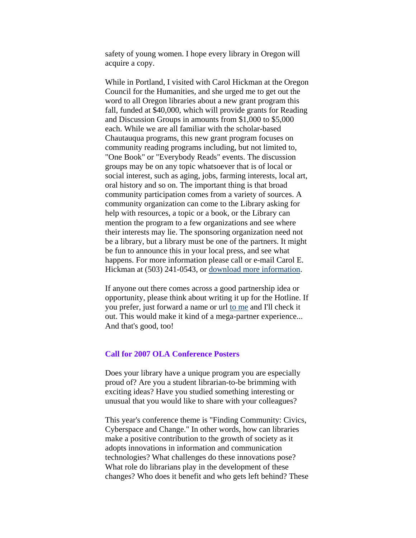<span id="page-2-0"></span>safety of young women. I hope every library in Oregon will acquire a copy.

While in Portland, I visited with Carol Hickman at the Oregon Council for the Humanities, and she urged me to get out the word to all Oregon libraries about a new grant program this fall, funded at \$40,000, which will provide grants for Reading and Discussion Groups in amounts from \$1,000 to \$5,000 each. While we are all familiar with the scholar-based Chautauqua programs, this new grant program focuses on community reading programs including, but not limited to, "One Book" or "Everybody Reads" events. The discussion groups may be on any topic whatsoever that is of local or social interest, such as aging, jobs, farming interests, local art, oral history and so on. The important thing is that broad community participation comes from a variety of sources. A community organization can come to the Library asking for help with resources, a topic or a book, or the Library can mention the program to a few organizations and see where their interests may lie. The sponsoring organization need not be a library, but a library must be one of the partners. It might be fun to announce this in your local press, and see what happens. For more information please call or e-mail Carol E. Hickman at (503) 241-0543, or [download more information](http://oregonhum.org/pdf/public-program-grants-0607.pdf).

If anyone out there comes across a good partnership idea or opportunity, please think about writing it up for the Hotline. If you prefer, just forward a name or url [to me](mailto:alethab@oregontrail.net) and I'll check it out. This would make it kind of a mega-partner experience... And that's good, too!

#### **Call for 2007 OLA Conference Posters**

Does your library have a unique program you are especially proud of? Are you a student librarian-to-be brimming with exciting ideas? Have you studied something interesting or unusual that you would like to share with your colleagues?

This year's conference theme is "Finding Community: Civics, Cyberspace and Change." In other words, how can libraries make a positive contribution to the growth of society as it adopts innovations in information and communication technologies? What challenges do these innovations pose? What role do librarians play in the development of these changes? Who does it benefit and who gets left behind? These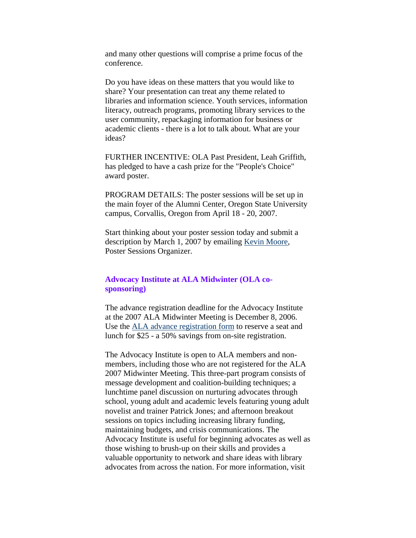<span id="page-3-0"></span>and many other questions will comprise a prime focus of the conference.

Do you have ideas on these matters that you would like to share? Your presentation can treat any theme related to libraries and information science. Youth services, information literacy, outreach programs, promoting library services to the user community, repackaging information for business or academic clients - there is a lot to talk about. What are your ideas?

FURTHER INCENTIVE: OLA Past President, Leah Griffith, has pledged to have a cash prize for the "People's Choice" award poster.

PROGRAM DETAILS: The poster sessions will be set up in the main foyer of the Alumni Center, Oregon State University campus, Corvallis, Oregon from April 18 - 20, 2007.

Start thinking about your poster session today and submit a description by March 1, 2007 by emailing [Kevin Moore,](mailto:nevikmoore@comcast.net) Poster Sessions Organizer.

#### **Advocacy Institute at ALA Midwinter (OLA cosponsoring)**

The advance registration deadline for the Advocacy Institute at the 2007 ALA Midwinter Meeting is December 8, 2006. Use the [ALA advance registration form](http://www.ala.org/midwinter) to reserve a seat and lunch for \$25 - a 50% savings from on-site registration.

The Advocacy Institute is open to ALA members and nonmembers, including those who are not registered for the ALA 2007 Midwinter Meeting. This three-part program consists of message development and coalition-building techniques; a lunchtime panel discussion on nurturing advocates through school, young adult and academic levels featuring young adult novelist and trainer Patrick Jones; and afternoon breakout sessions on topics including increasing library funding, maintaining budgets, and crisis communications. The Advocacy Institute is useful for beginning advocates as well as those wishing to brush-up on their skills and provides a valuable opportunity to network and share ideas with library advocates from across the nation. For more information, visit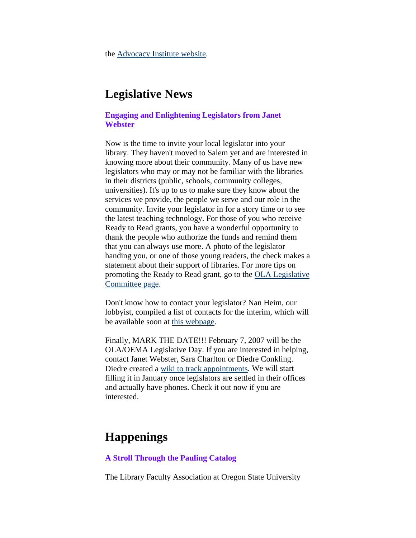<span id="page-4-0"></span>the [Advocacy Institute website](http://www.ala.org/advocacyinstitute).

## **Legislative News**

#### **Engaging and Enlightening Legislators from Janet Webster**

Now is the time to invite your local legislator into your library. They haven't moved to Salem yet and are interested in knowing more about their community. Many of us have new legislators who may or may not be familiar with the libraries in their districts (public, schools, community colleges, universities). It's up to us to make sure they know about the services we provide, the people we serve and our role in the community. Invite your legislator in for a story time or to see the latest teaching technology. For those of you who receive Ready to Read grants, you have a wonderful opportunity to thank the people who authorize the funds and remind them that you can always use more. A photo of the legislator handing you, or one of those young readers, the check makes a statement about their support of libraries. For more tips on promoting the Ready to Read grant, go to the [OLA Legislative](http://www.olaweb.org/org/lad.shtml#Ready%20to%20ReadAdvocacy)  [Committee page.](http://www.olaweb.org/org/lad.shtml#Ready%20to%20ReadAdvocacy)

Don't know how to contact your legislator? Nan Heim, our lobbyist, compiled a list of contacts for the interim, which will be available soon at [this webpage.](http://www.olaweb.org/org/lad.shtml)

Finally, MARK THE DATE!!! February 7, 2007 will be the OLA/OEMA Legislative Day. If you are interested in helping, contact Janet Webster, Sara Charlton or Diedre Conkling. Diedre created a [wiki to track appointments.](http://olanetwork.wikispaces.com/) We will start filling it in January once legislators are settled in their offices and actually have phones. Check it out now if you are interested.

## **Happenings**

#### **A Stroll Through the Pauling Catalog**

The Library Faculty Association at Oregon State University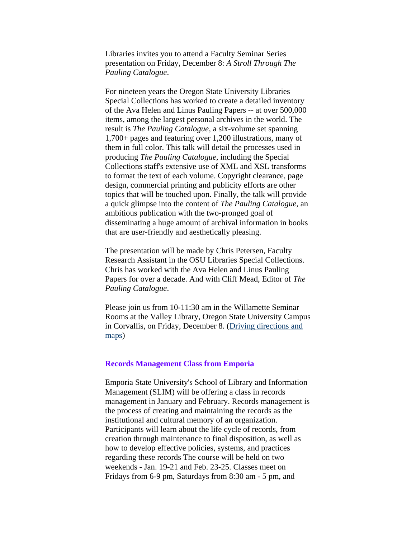<span id="page-5-0"></span>Libraries invites you to attend a Faculty Seminar Series presentation on Friday, December 8: *A Stroll Through The Pauling Catalogue*.

For nineteen years the Oregon State University Libraries Special Collections has worked to create a detailed inventory of the Ava Helen and Linus Pauling Papers -- at over 500,000 items, among the largest personal archives in the world. The result is *The Pauling Catalogue*, a six-volume set spanning 1,700+ pages and featuring over 1,200 illustrations, many of them in full color. This talk will detail the processes used in producing *The Pauling Catalogue*, including the Special Collections staff's extensive use of XML and XSL transforms to format the text of each volume. Copyright clearance, page design, commercial printing and publicity efforts are other topics that will be touched upon. Finally, the talk will provide a quick glimpse into the content of *The Pauling Catalogue*, an ambitious publication with the two-pronged goal of disseminating a huge amount of archival information in books that are user-friendly and aesthetically pleasing.

The presentation will be made by Chris Petersen, Faculty Research Assistant in the OSU Libraries Special Collections. Chris has worked with the Ava Helen and Linus Pauling Papers for over a decade. And with Cliff Mead, Editor of *The Pauling Catalogue*.

Please join us from 10-11:30 am in the Willamette Seminar Rooms at the Valley Library, Oregon State University Campus in Corvallis, on Friday, December 8. ([Driving directions and](http://osulibrary.oregonstate.edu/locations/findus.html)  [maps](http://osulibrary.oregonstate.edu/locations/findus.html))

#### **Records Management Class from Emporia**

Emporia State University's School of Library and Information Management (SLIM) will be offering a class in records management in January and February. Records management is the process of creating and maintaining the records as the institutional and cultural memory of an organization. Participants will learn about the life cycle of records, from creation through maintenance to final disposition, as well as how to develop effective policies, systems, and practices regarding these records The course will be held on two weekends - Jan. 19-21 and Feb. 23-25. Classes meet on Fridays from 6-9 pm, Saturdays from 8:30 am - 5 pm, and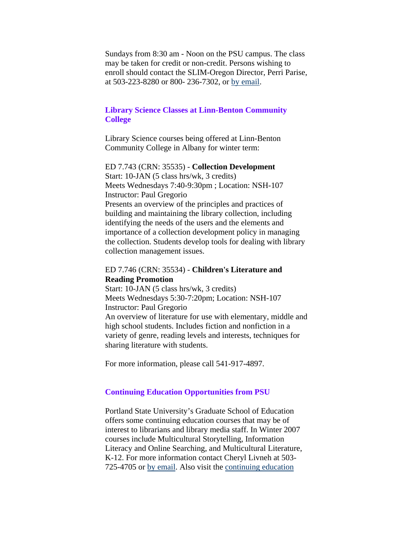<span id="page-6-0"></span>Sundays from 8:30 am - Noon on the PSU campus. The class may be taken for credit or non-credit. Persons wishing to enroll should contact the SLIM-Oregon Director, Perri Parise, at 503-223-8280 or 800- 236-7302, or [by email](mailto:pparise@emporia.edu).

#### **Library Science Classes at Linn-Benton Community College**

Library Science courses being offered at Linn-Benton Community College in Albany for winter term:

ED 7.743 (CRN: 35535) - **Collection Development** Start: 10-JAN (5 class hrs/wk, 3 credits) Meets Wednesdays 7:40-9:30pm ; Location: NSH-107 Instructor: Paul Gregorio Presents an overview of the principles and practices of building and maintaining the library collection, including identifying the needs of the users and the elements and importance of a collection development policy in managing the collection. Students develop tools for dealing with library collection management issues.

#### ED 7.746 (CRN: 35534) - **Children's Literature and Reading Promotion**

Start: 10-JAN (5 class hrs/wk, 3 credits) Meets Wednesdays 5:30-7:20pm; Location: NSH-107 Instructor: Paul Gregorio An overview of literature for use with elementary, middle and high school students. Includes fiction and nonfiction in a variety of genre, reading levels and interests, techniques for sharing literature with students.

For more information, please call 541-917-4897.

#### **Continuing Education Opportunities from PSU**

Portland State University's Graduate School of Education offers some continuing education courses that may be of interest to librarians and library media staff. In Winter 2007 courses include Multicultural Storytelling, Information Literacy and Online Searching, and Multicultural Literature, K-12. For more information contact Cheryl Livneh at 503- 725-4705 or [by email](mailto:livnehc@pdx.edu). Also visit the [continuing education](http://www.ceed.pdx.edu/)